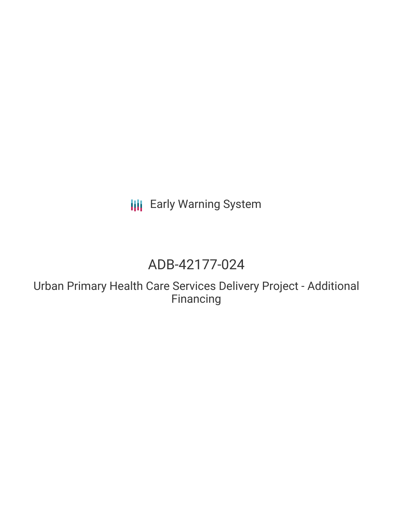**III** Early Warning System

# ADB-42177-024

Urban Primary Health Care Services Delivery Project - Additional Financing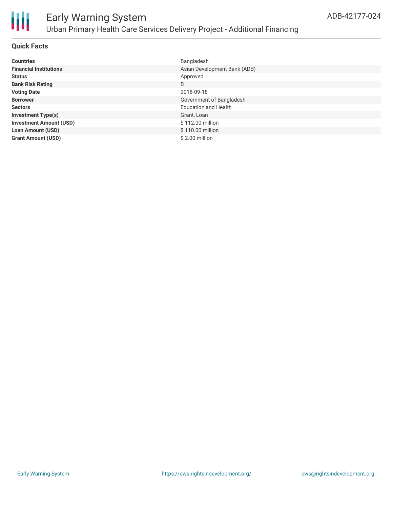

## Early Warning System Urban Primary Health Care Services Delivery Project - Additional Financing

#### **Quick Facts**

| <b>Countries</b>               | Bangladesh                   |
|--------------------------------|------------------------------|
| <b>Financial Institutions</b>  | Asian Development Bank (ADB) |
| <b>Status</b>                  | Approved                     |
| <b>Bank Risk Rating</b>        | B                            |
| <b>Voting Date</b>             | 2018-09-18                   |
| <b>Borrower</b>                | Government of Bangladesh     |
| <b>Sectors</b>                 | <b>Education and Health</b>  |
| <b>Investment Type(s)</b>      | Grant, Loan                  |
| <b>Investment Amount (USD)</b> | \$112.00 million             |
| <b>Loan Amount (USD)</b>       | \$110.00 million             |
| <b>Grant Amount (USD)</b>      | \$2.00 million               |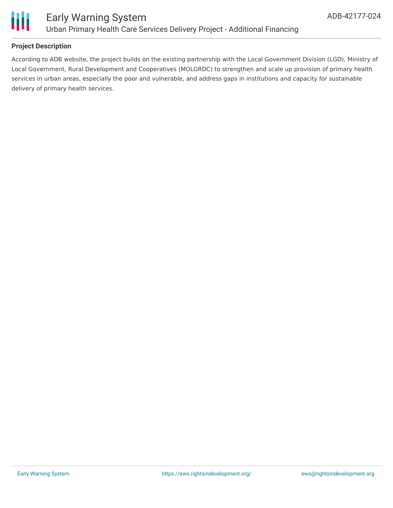

### **Project Description**

According to ADB website, the project builds on the existing partnership with the Local Government Division (LGD), Ministry of Local Government, Rural Development and Cooperatives (MOLGRDC) to strengthen and scale up provision of primary health services in urban areas, especially the poor and vulnerable, and address gaps in institutions and capacity for sustainable delivery of primary health services.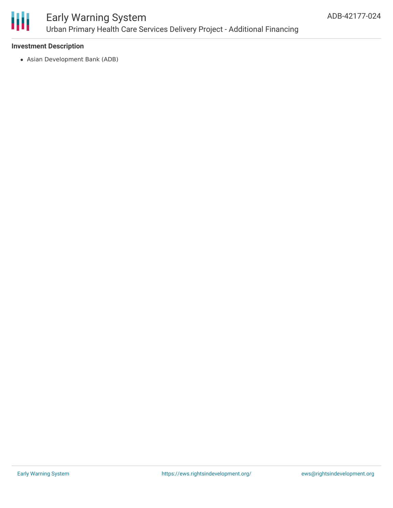

## Early Warning System Urban Primary Health Care Services Delivery Project - Additional Financing

#### **Investment Description**

Asian Development Bank (ADB)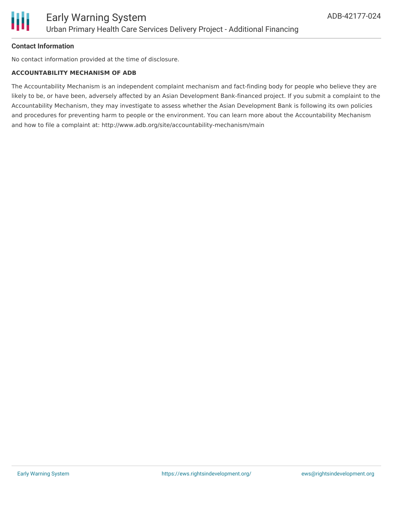

#### **Contact Information**

No contact information provided at the time of disclosure.

#### **ACCOUNTABILITY MECHANISM OF ADB**

The Accountability Mechanism is an independent complaint mechanism and fact-finding body for people who believe they are likely to be, or have been, adversely affected by an Asian Development Bank-financed project. If you submit a complaint to the Accountability Mechanism, they may investigate to assess whether the Asian Development Bank is following its own policies and procedures for preventing harm to people or the environment. You can learn more about the Accountability Mechanism and how to file a complaint at: http://www.adb.org/site/accountability-mechanism/main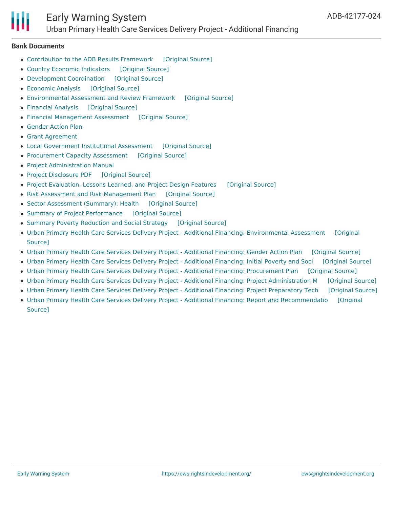## Early Warning System

Urban Primary Health Care Services Delivery Project - Additional Financing

#### **Bank Documents**

- [Contribution](https://ewsdata.rightsindevelopment.org/files/documents/24/ADB-42177-024_hILv6Oh.pdf) to the ADB Results Framework [\[Original](https://www.adb.org/projects/documents/ban-42177-024-rrp) Source]
- Country Economic [Indicators](https://ewsdata.rightsindevelopment.org/files/documents/24/ADB-42177-024_pXfwCh1.pdf) [\[Original](https://www.adb.org/projects/documents/ban-42177-024-rrp) Source]
- [Development](https://ewsdata.rightsindevelopment.org/files/documents/24/ADB-42177-024_JDN054O.pdf) Coordination [\[Original](https://www.adb.org/projects/documents/ban-42177-024-rrp) Source]
- [Economic](https://ewsdata.rightsindevelopment.org/files/documents/24/ADB-42177-024_fPcJ2xE.pdf) Analysis [\[Original](https://www.adb.org/projects/documents/ban-42177-024-rrp) Source]
- [Environmental](https://ewsdata.rightsindevelopment.org/files/documents/24/ADB-42177-024_eRXdHt2.pdf) Assessment and Review Framework [\[Original](https://www.adb.org/projects/documents/ban-42177-024-rrp) Source]
- [Financial](https://ewsdata.rightsindevelopment.org/files/documents/24/ADB-42177-024_SLeUD6y.pdf) Analysis [\[Original](https://www.adb.org/projects/documents/ban-42177-024-rrp) Source]
- Financial [Management](https://ewsdata.rightsindevelopment.org/files/documents/24/ADB-42177-024_oL4JfmX.pdf) Assessment [\[Original](https://www.adb.org/projects/documents/ban-42177-024-rrp) Source]
- [Gender](https://www.adb.org/projects/documents/ban-42177-024-rrp) Action Plan
- Grant [Agreement](https://www.adb.org/sites/default/files/project-documents/42177/42177-024-grj-en.pdf)
- Local [Government](https://ewsdata.rightsindevelopment.org/files/documents/24/ADB-42177-024_EdPZg9E.pdf) Institutional Assessment [\[Original](https://www.adb.org/projects/documents/ban-42177-024-rrp) Source]
- [Procurement](https://ewsdata.rightsindevelopment.org/files/documents/24/ADB-42177-024_xIeqtyc.pdf) Capacity Assessment [\[Original](https://www.adb.org/projects/documents/ban-42177-024-rrp) Source]
- Project [Administration](https://www.adb.org/projects/documents/ban-42177-024-rrp) Manual
- Project [Disclosure](https://ewsdata.rightsindevelopment.org/files/documents/24/ADB-42177-024.pdf) PDF [\[Original](https://www.adb.org/printpdf/projects/42177-024/main) Source]
- Project [Evaluation,](https://ewsdata.rightsindevelopment.org/files/documents/24/ADB-42177-024_qfLchEk.pdf) Lessons Learned, and Project Design Features [\[Original](https://www.adb.org/projects/documents/ban-42177-024-rrp) Source]
- Risk Assessment and Risk [Management](https://ewsdata.rightsindevelopment.org/files/documents/24/ADB-42177-024_OfP1iQ9.pdf) Plan [\[Original](https://www.adb.org/projects/documents/ban-42177-024-rrp) Source]
- Sector [Assessment](https://ewsdata.rightsindevelopment.org/files/documents/24/ADB-42177-024_u2rPyDi.pdf) (Summary): Health [\[Original](https://www.adb.org/projects/documents/ban-42177-024-rrp) Source]
- Summary of Project [Performance](https://ewsdata.rightsindevelopment.org/files/documents/24/ADB-42177-024_Knb2Lt3.pdf) [\[Original](https://www.adb.org/projects/documents/ban-42177-024-rrp) Source]
- Summary Poverty [Reduction](https://ewsdata.rightsindevelopment.org/files/documents/24/ADB-42177-024_Fptol8T.pdf) and Social Strategy [\[Original](https://www.adb.org/projects/documents/ban-42177-024-rrp) Source]
- Urban Primary Health Care Services Delivery Project Additional Financing: [Environmental](https://ewsdata.rightsindevelopment.org/files/documents/24/ADB-42177-024_CvIz077.pdf) Assessment [Original Source]
- Urban Primary Health Care Services Delivery Project Additional [Financing:](https://ewsdata.rightsindevelopment.org/files/documents/24/ADB-42177-024_AaQc0jJ.pdf) Gender Action Plan [\[Original](https://www.adb.org/projects/documents/ban-42177-024-gap) Source]
- Urban Primary Health Care Services Delivery Project Additional [Financing:](https://ewsdata.rightsindevelopment.org/files/documents/24/ADB-42177-024_Dn03u0t.pdf) Initial Poverty and Soci [\[Original](https://www.adb.org/projects/documents/ban-uphcsdp-af-ipsa) Source]
- Urban Primary Health Care Services Delivery Project Additional Financing: [Procurement](https://ewsdata.rightsindevelopment.org/files/documents/24/ADB-42177-024_sqXljob.pdf) Plan [\[Original](https://www.adb.org/projects/documents/ban-42177-024-pp) Source]
- Urban Primary Health Care Services Delivery Project Additional Financing: Project [Administration](https://ewsdata.rightsindevelopment.org/files/documents/24/ADB-42177-024_pDuSJ47.pdf) M [\[Original](https://www.adb.org/projects/documents/ban-42177-024-pam) Source]
- Urban Primary Health Care Services Delivery Project Additional Financing: Project [Preparatory](https://ewsdata.rightsindevelopment.org/files/documents/24/ADB-42177-024_HXzk7hD.pdf) Tech [\[Original](https://www.adb.org/projects/documents/ban-uphcsdp-af-pptar) Source]
- Urban Primary Health Care Services Delivery Project Additional Financing: Report and [Recommendatio](https://www.adb.org/projects/documents/ban-42177-024-rrp) [Original Source]